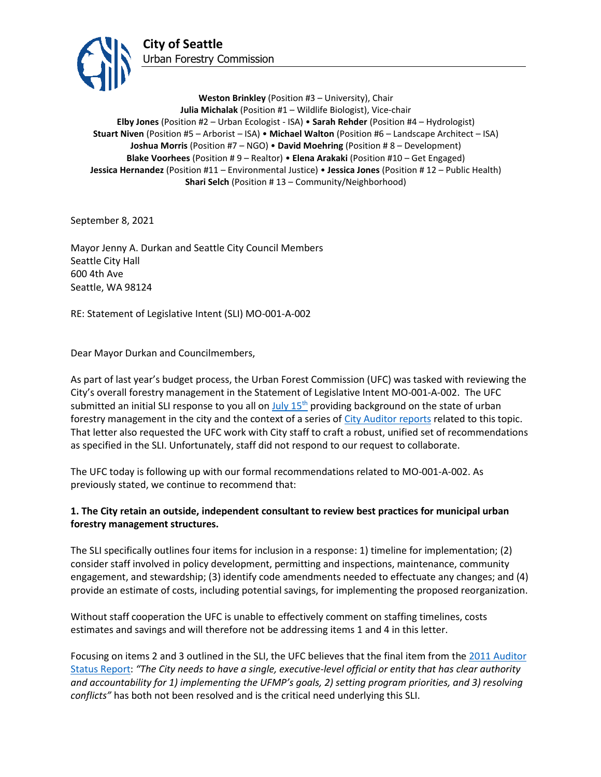

**Weston Brinkley** (Position #3 – University), Chair **Julia Michalak** (Position #1 – Wildlife Biologist), Vice-chair **Elby Jones** (Position #2 – Urban Ecologist - ISA) • **Sarah Rehder** (Position #4 – Hydrologist) **Stuart Niven** (Position #5 – Arborist – ISA) • **Michael Walton** (Position #6 – Landscape Architect – ISA) **Joshua Morris** (Position #7 – NGO) • **David Moehring** (Position # 8 – Development) **Blake Voorhees** (Position # 9 – Realtor) • **Elena Arakaki** (Position #10 – Get Engaged) **Jessica Hernandez** (Position #11 – Environmental Justice) • **Jessica Jones** (Position # 12 – Public Health) **Shari Selch** (Position #13 – Community/Neighborhood)

September 8, 2021

Mayor Jenny A. Durkan and Seattle City Council Members Seattle City Hall 600 4th Ave Seattle, WA 98124

RE: Statement of Legislative Intent (SLI) MO-001-A-002

Dear Mayor Durkan and Councilmembers,

As part of last year's budget process, the Urban Forest Commission (UFC) was tasked with reviewing the City's overall forestry management in the Statement of Legislative Intent MO-001-A-002. The UFC submitted an initial SLI response to you all on July  $15<sup>th</sup>$  providing background on the state of urban forestry management in the city and the context of a series of [City Auditor reports](http://www.seattle.gov/Documents/Departments/UrbanForestryCommission/Resources/TreeAuditReport20090515.pdf) related to this topic. That letter also requested the UFC work with City staff to craft a robust, unified set of recommendations as specified in the SLI. Unfortunately, staff did not respond to our request to collaborate.

The UFC today is following up with our formal recommendations related to MO-001-A-002. As previously stated, we continue to recommend that:

## **1. The City retain an outside, independent consultant to review best practices for municipal urban forestry management structures.**

The SLI specifically outlines four items for inclusion in a response: 1) timeline for implementation; (2) consider staff involved in policy development, permitting and inspections, maintenance, community engagement, and stewardship; (3) identify code amendments needed to effectuate any changes; and (4) provide an estimate of costs, including potential savings, for implementing the proposed reorganization.

Without staff cooperation the UFC is unable to effectively comment on staffing timelines, costs estimates and savings and will therefore not be addressing items 1 and 4 in this letter.

Focusing on items 2 and 3 outlined in the SLI, the UFC believes that the final item from the [2011 Auditor](http://www.seattle.gov/Documents/Departments/UrbanForestryCommission/Resources/FinalReport2011-09-20.pdf)  [Status Report:](http://www.seattle.gov/Documents/Departments/UrbanForestryCommission/Resources/FinalReport2011-09-20.pdf) *"The City needs to have a single, executive-level official or entity that has clear authority and accountability for 1) implementing the UFMP's goals, 2) setting program priorities, and 3) resolving conflicts"* has both not been resolved and is the critical need underlying this SLI.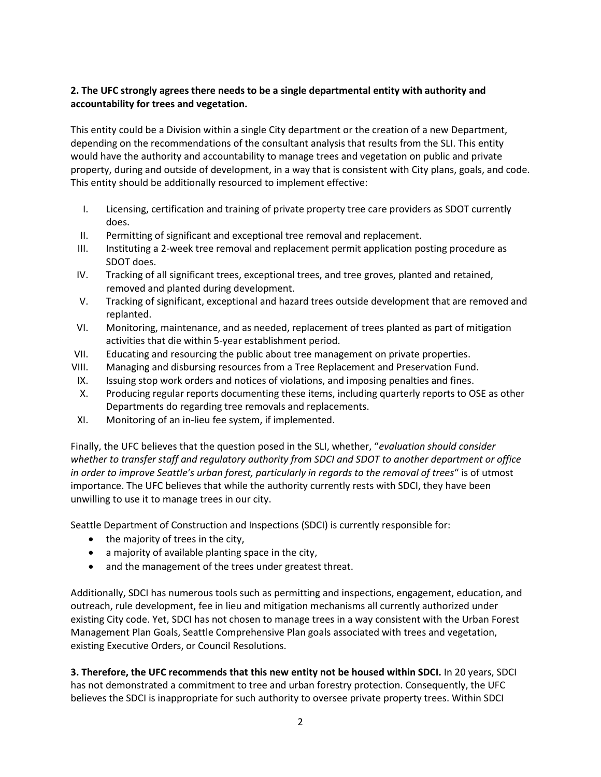## **2. The UFC strongly agrees there needs to be a single departmental entity with authority and accountability for trees and vegetation.**

This entity could be a Division within a single City department or the creation of a new Department, depending on the recommendations of the consultant analysis that results from the SLI. This entity would have the authority and accountability to manage trees and vegetation on public and private property, during and outside of development, in a way that is consistent with City plans, goals, and code. This entity should be additionally resourced to implement effective:

- I. Licensing, certification and training of private property tree care providers as SDOT currently does.
- II. Permitting of significant and exceptional tree removal and replacement.
- III. Instituting a 2-week tree removal and replacement permit application posting procedure as SDOT does.
- IV. Tracking of all significant trees, exceptional trees, and tree groves, planted and retained, removed and planted during development.
- V. Tracking of significant, exceptional and hazard trees outside development that are removed and replanted.
- VI. Monitoring, maintenance, and as needed, replacement of trees planted as part of mitigation activities that die within 5-year establishment period.
- VII. Educating and resourcing the public about tree management on private properties.
- VIII. Managing and disbursing resources from a Tree Replacement and Preservation Fund.
- IX. Issuing stop work orders and notices of violations, and imposing penalties and fines.
- X. Producing regular reports documenting these items, including quarterly reports to OSE as other Departments do regarding tree removals and replacements.
- XI. Monitoring of an in-lieu fee system, if implemented.

Finally, the UFC believes that the question posed in the SLI, whether, "*evaluation should consider whether to transfer staff and regulatory authority from SDCI and SDOT to another department or office in order to improve Seattle's urban forest, particularly in regards to the removal of trees*" is of utmost importance. The UFC believes that while the authority currently rests with SDCI, they have been unwilling to use it to manage trees in our city.

Seattle Department of Construction and Inspections (SDCI) is currently responsible for:

- the majority of trees in the city,
- a majority of available planting space in the city,
- and the management of the trees under greatest threat.

Additionally, SDCI has numerous tools such as permitting and inspections, engagement, education, and outreach, rule development, fee in lieu and mitigation mechanisms all currently authorized under existing City code. Yet, SDCI has not chosen to manage trees in a way consistent with the Urban Forest Management Plan Goals, Seattle Comprehensive Plan goals associated with trees and vegetation, existing Executive Orders, or Council Resolutions.

**3. Therefore, the UFC recommends that this new entity not be housed within SDCI.** In 20 years, SDCI has not demonstrated a commitment to tree and urban forestry protection. Consequently, the UFC believes the SDCI is inappropriate for such authority to oversee private property trees. Within SDCI